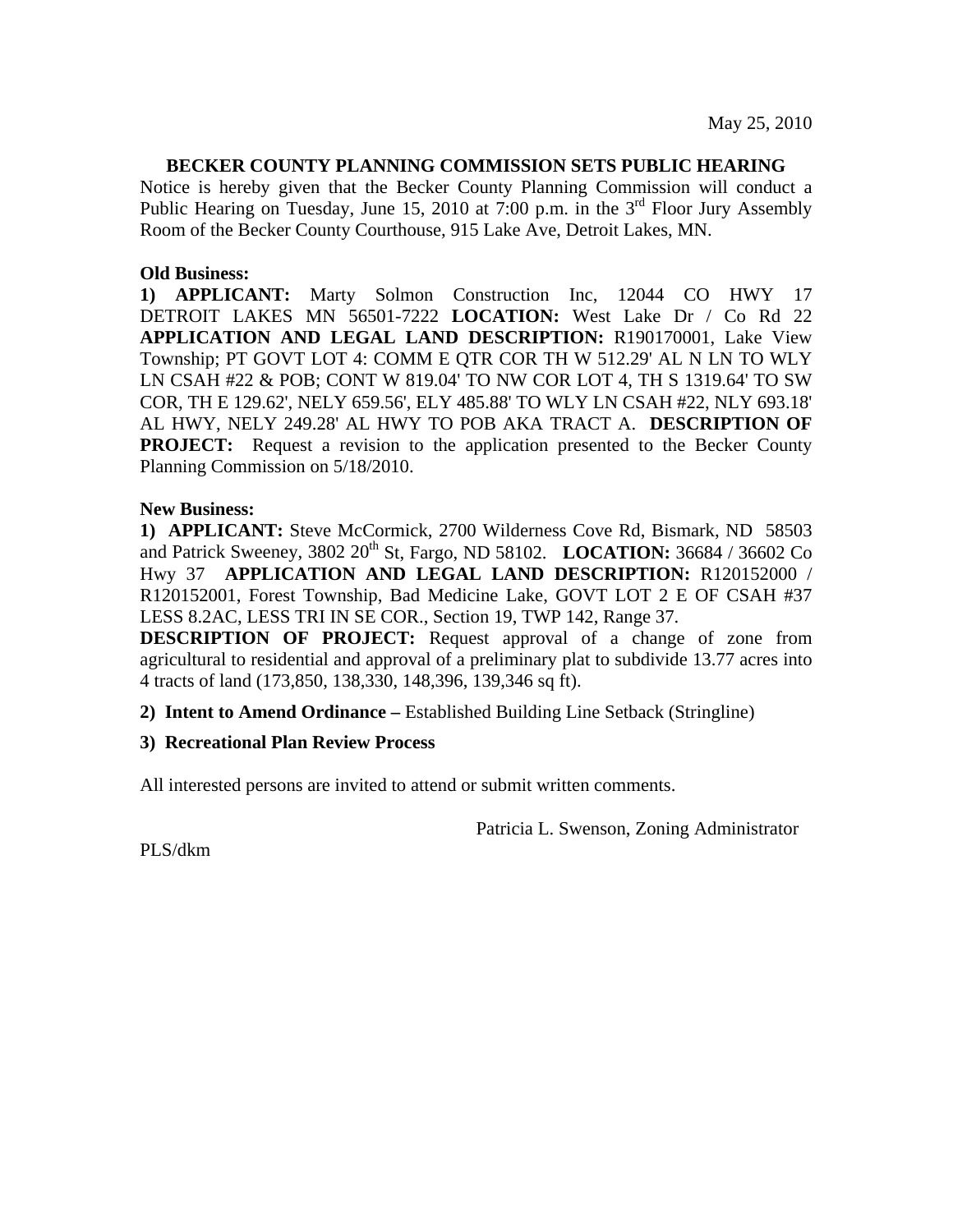## **BECKER COUNTY PLANNING COMMISSION SETS PUBLIC HEARING**

Notice is hereby given that the Becker County Planning Commission will conduct a Public Hearing on Tuesday, June 15, 2010 at 7:00 p.m. in the  $3<sup>rd</sup>$  Floor Jury Assembly Room of the Becker County Courthouse, 915 Lake Ave, Detroit Lakes, MN.

## **Old Business:**

**1) APPLICANT:** Marty Solmon Construction Inc, 12044 CO HWY 17 DETROIT LAKES MN 56501-7222 **LOCATION:** West Lake Dr / Co Rd 22 **APPLICATION AND LEGAL LAND DESCRIPTION:** R190170001, Lake View Township; PT GOVT LOT 4: COMM E QTR COR TH W 512.29' AL N LN TO WLY LN CSAH #22 & POB; CONT W 819.04' TO NW COR LOT 4, TH S 1319.64' TO SW COR, TH E 129.62', NELY 659.56', ELY 485.88' TO WLY LN CSAH #22, NLY 693.18' AL HWY, NELY 249.28' AL HWY TO POB AKA TRACT A. **DESCRIPTION OF PROJECT:** Request a revision to the application presented to the Becker County Planning Commission on 5/18/2010.

# **New Business:**

**1) APPLICANT:** Steve McCormick, 2700 Wilderness Cove Rd, Bismark, ND 58503 and Patrick Sweeney, 3802 20<sup>th</sup> St, Fargo, ND 58102. **LOCATION:** 36684 / 36602 Co Hwy 37 **APPLICATION AND LEGAL LAND DESCRIPTION:** R120152000 / R120152001, Forest Township, Bad Medicine Lake, GOVT LOT 2 E OF CSAH #37 LESS 8.2AC, LESS TRI IN SE COR., Section 19, TWP 142, Range 37.

**DESCRIPTION OF PROJECT:** Request approval of a change of zone from agricultural to residential and approval of a preliminary plat to subdivide 13.77 acres into 4 tracts of land (173,850, 138,330, 148,396, 139,346 sq ft).

**2) Intent to Amend Ordinance –** Established Building Line Setback (Stringline)

#### **3) Recreational Plan Review Process**

All interested persons are invited to attend or submit written comments.

Patricia L. Swenson, Zoning Administrator

PLS/dkm